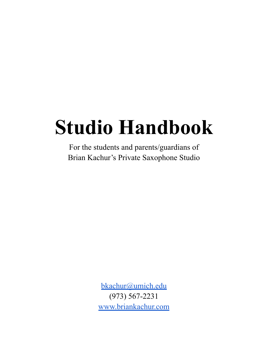# **Studio Handbook**

For the students and parents/guardians of Brian Kachur's Private Saxophone Studio

> [bkachur@umich.edu](mailto:bkachur@umich.edu) (973) 567-2231 [www.briankachur.com](http://www.briankachur.com)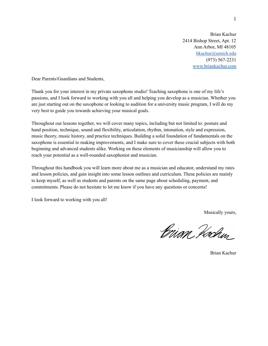Brian Kachur 2414 Bishop Street, Apt. 12 Ann Arbor, MI 48105 [bkachur@umich.edu](mailto:bkachur@umich.edu) (973) 567-2231 [www.briankachur.com](http://www.briankachur.com)

Dear Parents/Guardians and Students,

Thank you for your interest in my private saxophone studio! Teaching saxophone is one of my life's passions, and I look forward to working with you all and helping you develop as a musician. Whether you are just starting out on the saxophone or looking to audition for a university music program, I will do my very best to guide you towards achieving your musical goals.

Throughout our lessons together, we will cover many topics, including but not limited to: posture and hand position, technique, sound and flexibility, articulation, rhythm, intonation, style and expression, music theory, music history, and practice techniques. Building a solid foundation of fundamentals on the saxophone is essential to making improvements, and I make sure to cover these crucial subjects with both beginning and advanced students alike. Working on these elements of musicianship will allow you to reach your potential as a well-rounded saxophonist and musician.

Throughout this handbook you will learn more about me as a musician and educator, understand my rates and lesson policies, and gain insight into some lesson outlines and curriculum. These policies are mainly to keep myself, as well as students and parents on the same page about scheduling, payment, and commitments. Please do not hesitate to let me know if you have any questions or concerns!

I look forward to working with you all!

Musically yours,

Brian Hoden

Brian Kachur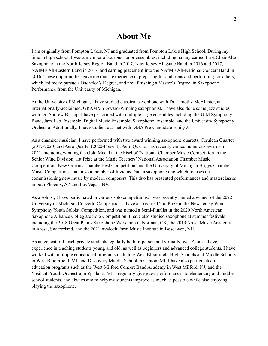## **About Me**

I am originally from Pompton Lakes, NJ and graduated from Pompton Lakes High School. During my time in high school, I was a member of various honor ensembles, including having earned First Chair Alto Saxophone in the North Jersey Region Band in 2017, New Jersey All-State Band in 2016 and 2017, NAfME All-Eastern Band in 2017, and earning placement into the NAfME All-National Concert Band in 2016. These opportunities gave me much experience in preparing for auditions and performing for others, which led me to pursue a Bachelor's Degree, and now finishing a Master's Degree, in Saxophone Performance from the University of Michigan.

At the University of Michigan, I have studied classical saxophone with Dr. Timothy McAllister, an internationally-acclaimed, GRAMMY Award-Winning saxophonist. I have also done some jazz studies with Dr. Andrew Bishop. I have performed with multiple large ensembles including the U-M Symphony Band, Jazz Lab Ensemble, Digital Music Ensemble, Saxophone Ensemble, and the University Symphony Orchestra. Additionally, I have studied clarinet with DMA Pre-Candidate Emily Ji.

As a chamber musician, I have performed with two award winning saxophone quartets. Cerulean Quartet (2017-2020) and Aero Quartet (2020-Present). Aero Quartet has recently earned numerous awards in 2021, including winning the Gold Medal at the Fischoff National Chamber Music Competition in the Senior Wind Division, 1st Prize at the Music Teachers' National Association Chamber Music Competition, New Orleans ChamberFest Competition, and the University of Michigan Briggs Chamber Music Competition. I am also a member of Invictus Duo, a saxophone duo which focuses on commissioning new music by modern composers. This duo has presented performances and masterclasses in both Phoenix, AZ and Las Vegas, NV.

As a soloist, I have participated in various solo competitions. I was recently named a winner of the 2022 University of Michigan Concerto Competition. I have also earned 2nd Prize in the New Jersey Wind Symphony Youth Soloist Competition, and was named a Semi-Finalist in the 2020 North American Saxophone Alliance Collegiate Solo Competition. I have also studied saxophone at summer festivals including the 2018 Great Plains Saxophone Workshop in Norman, OK, the 2019 Arosa Music Academy in Arosa, Switzerland, and the 2021 Avaloch Farm Music Institute in Boscawen, NH.

As an educator, I teach private students regularly both in-person and virtually over Zoom. I have experience in teaching students young and old, as well as beginners and advanced college students. I have worked with multiple educational programs including West Bloomfield High Schools and Middle Schools in West Bloomfield, MI, and Discovery Middle School in Canton, MI. I have also participated in education programs such as the West Milford Concert Band Academy in West Milford, NJ, and the Ypsilanti Youth Orchestra in Ypsilanti, MI. I regularly give guest performances to elementary and middle school students, and always aim to help my students improve as much as possible while also enjoying playing the saxophone.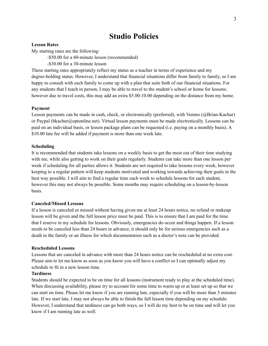## **Studio Policies**

#### **Lesson Rates**

My starting rates are the following:

-\$50.00 for a 60-minute lesson (recommended)

-\$30.00 for a 30-minute lesson

These starting rates appropriately reflect my status as a teacher in terms of experience and my degree-holding status. However, I understand that financial situations differ from family to family, so I am happy to consult with each family to come up with a plan that suits both of our financial situations. For any students that I teach in person, I may be able to travel to the student's school or home for lessons; however due to travel costs, this may add an extra \$5.00-10.00 depending on the distance from my home.

#### **Payment**

Lesson payments can be made in cash, check, or electronically (preferred), with Venmo (@Brian-Kachur) or Paypal (bkachur@optonline.net). Virtual lesson payments must be made electronically. Lessons can be paid on an individual basis, or lesson package plans can be requested (i.e. paying on a monthly basis). A \$10.00 late fee will be added if payment is more than one week late.

#### **Scheduling**

It is recommended that students take lessons on a weekly basis to get the most out of their time studying with me, while also getting to work on their goals regularly. Students can take more than one lesson per week if scheduling for all parties allows it. Students are not required to take lessons every week, however keeping to a regular pattern will keep students motivated and working towards achieving their goals in the best way possible. I will aim to find a regular time each week to schedule lessons for each student, however this may not always be possible. Some months may require scheduling on a lesson-by-lesson basis.

#### **Canceled/Missed Lessons**

If a lesson is canceled or missed without having given me at least 24 hours notice, no refund or makeup lesson will be given and the full lesson price must be paid. This is to ensure that I am paid for the time that I reserve in my schedule for lessons. Obviously, emergencies do occur and things happen. If a lesson needs to be canceled less than 24 hours in advance, it should only be for serious emergencies such as a death in the family or an illness for which documentation such as a doctor's note can be provided.

#### **Rescheduled Lessons**

Lessons that are canceled in advance with more than 24 hours notice can be rescheduled at no extra cost. Please aim to let me know as soon as you know you will have a conflict so I can optimally adjust my schedule to fit in a new lesson time.

#### **Tardiness**

Students should be expected to be on time for all lessons (instrument ready to play at the scheduled time). When discussing availability, please try to account for some time to warm up or at least set up so that we can start on time. Please let me know if you are running late, especially if you will be more than 5 minutes late. If we start late, I may not always be able to finish the full lesson time depending on my schedule. However, I understand that tardiness can go both ways, so I will do my best to be on time and will let you know if I am running late as well.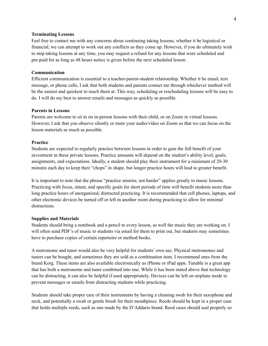#### **Terminating Lessons**

Feel free to contact me with any concerns about continuing taking lessons, whether it be logistical or financial; we can attempt to work out any conflicts as they come up. However, if you do ultimately wish to stop taking lessons at any time, you may request a refund for any lessons that were scheduled and pre-paid for as long as 48 hours notice is given before the next scheduled lesson.

#### **Communication**

Efficient communication is essential to a teacher-parent-student relationship. Whether it be email, text message, or phone calls, I ask that both students and parents contact me through whichever method will be the easiest and quickest to reach them at. This way, scheduling or rescheduling lessons will be easy to do. I will do my best to answer emails and messages as quickly as possible.

#### **Parents in Lessons**

Parents are welcome to sit in on in-person lessons with their child, or on Zoom in virtual lessons. However, I ask that you observe silently or mute your audio/video on Zoom so that we can focus on the lesson materials as much as possible.

#### **Practice**

Students are expected to regularly practice between lessons in order to gain the full benefit of your investment in these private lessons. Practice amounts will depend on the student's ability level, goals, assignments, and expectations. Ideally, a student should play their instrument for a minimum of 20-30 minutes each day to keep their "chops" in shape, but longer practice hours will lead to greater benefit.

It is important to note that the phrase "practice smarter, not harder" applies greatly to music lessons. Practicing with focus, intent, and specific goals for short periods of time will benefit students more than long practice hours of unorganized, distracted practicing. It is recommended that cell phones, laptops, and other electronic devices be turned off or left in another room during practicing to allow for minimal distractions.

#### **Supplies and Materials**

Students should bring a notebook and a pencil to every lesson, as well the music they are working on. I will often send PDF's of music to students via email for them to print out, but students may sometimes have to purchase copies of certain repertoire or method books.

A metronome and tuner would also be very helpful for students' own use. Physical metronomes and tuners can be bought, and sometimes they are sold as a combination item. I recommend ones from the brand Korg. These items are also available electronically as iPhone or iPad apps. Tunable is a great app that has both a metronome and tuner combined into one. While it has been stated above that technology can be distracting, it can also be helpful if used appropriately. Devices can be left on airplane mode to prevent messages or emails from distracting students while practicing.

Students should take proper care of their instruments by having a cleaning swab for their saxophone and neck, and potentially a swab or gentle brush for their mouthpiece. Reeds should be kept in a proper case that holds multiple reeds, such as one made by the D'Addario brand. Reed cases should seal properly so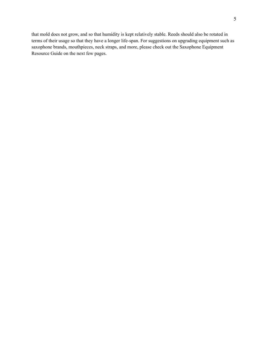that mold does not grow, and so that humidity is kept relatively stable. Reeds should also be rotated in terms of their usage so that they have a longer life-span. For suggestions on upgrading equipment such as saxophone brands, mouthpieces, neck straps, and more, please check out the Saxophone Equipment Resource Guide on the next few pages.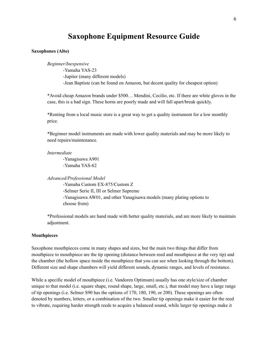### **Saxophone Equipment Resource Guide**

#### **Saxophones (Alto)**

*Beginner/Inexpensive*

-Yamaha YAS-23

-Jupiter (many different models)

-Jean Baptiste (can be found on Amazon, but decent quality for cheapest option)

\*Avoid cheap Amazon brands under \$500… Mendini, Cecilio, etc. If there are white gloves in the case, this is a bad sign. These horns are poorly made and will fall apart/break quickly.

\*Renting from a local music store is a great way to get a quality instrument for a low monthly price.

\*Beginner model instruments are made with lower quality materials and may be more likely to need repairs/maintenance.

*Intermediate*

-Yanagisawa A901 -Yamaha YAS-62

*Advanced/Professional Model*

-Yamaha Custom EX-875/Custom Z -Selmer Serie II, III or Selmer Supreme -Yanagisawa AW01, and other Yanagisawa models (many plating options to choose from)

\*Professional models are hand made with better quality materials, and are more likely to maintain adjustment.

#### **Mouthpieces**

Saxophone mouthpieces come in many shapes and sizes, but the main two things that differ from mouthpiece to mouthpiece are the tip opening (distance between reed and mouthpiece at the very tip) and the chamber (the hollow space inside the mouthpiece that you can see when looking through the bottom). Different size and shape chambers will yield different sounds, dynamic ranges, and levels of resistance.

While a specific model of mouthpiece (i.e. Vandoren Optimum) usually has one style/size of chamber unique to that model (i.e. square shape, round shape, large, small, etc.), that model may have a large range of tip openings (i.e. Selmer S90 has the options of 170, 180, 190, or 200). These openings are often denoted by numbers, letters, or a combination of the two. Smaller tip openings make it easier for the reed to vibrate, requiring harder strength reeds to acquire a balanced sound, while larger tip openings make it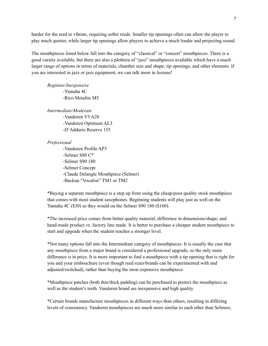harder for the reed to vibrate, requiring softer reeds. Smaller tip openings often can allow the player to play much quieter, while larger tip openings allow players to achieve a much louder and projecting sound.

The mouthpieces listed below fall into the category of "classical" or "concert" mouthpieces. There is a good variety available, but there are also a plethora of "jazz" mouthpieces available which have a much larger range of options in terms of materials, chamber size and shape, tip openings, and other elements. If you are interested in jazz or jazz equipment, we can talk more in lessons!

*Beginner/Inexpensive* -Yamaha 4C -Rico Metalite M5

*Intermediate/Moderate* -Vandoren V5 A28

> -Vandoren Optimum AL3 -D'Addario Reserve 155

#### *Professional*

-Vandoren Profile AP3 -Selmer S80 C\* -Selmer S90 180 -Selmer Concept -Claude Delangle Mouthpiece (Selmer) -Backun "Vocalise" TM1 or TM2

\*Buying a separate mouthpiece is a step up from using the cheap/poor quality stock mouthpiece that comes with most student saxophones. Beginning students will play just as well on the Yamaha 4C (\$30) as they would on the Selmer S90 180 (\$160).

\*The increased price comes from better quality material, difference in dimensions/shape, and hand-made product vs. factory line made. It is better to purchase a cheaper student mouthpiece to start and upgrade when the student reaches a stronger level.

\*Not many options fall into the Intermediate category of mouthpieces. It is usually the case that any mouthpiece from a major brand is considered a professional upgrade, so the only main difference is in price. It is more important to find a mouthpiece with a tip opening that is right for you and your embouchure (even though reed sizes/brands can be experimented with and adjusted/switched), rather than buying the most expensive mouthpiece.

\*Mouthpiece patches (both thin/thick padding) can be purchased to protect the mouthpiece as well as the student's teeth. Vandoren brand are inexpensive and high quality.

\*Certain brands manufacture mouthpieces in different ways than others, resulting in differing levels of consistency. Vandoren mouthpieces are much more similar to each other than Selmers,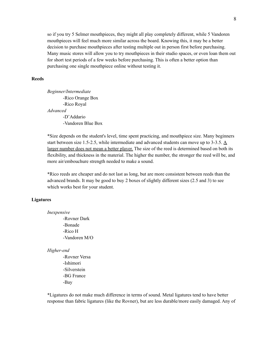so if you try 5 Selmer mouthpieces, they might all play completely different, while 5 Vandoren mouthpieces will feel much more similar across the board. Knowing this, it may be a better decision to purchase mouthpieces after testing multiple out in person first before purchasing. Many music stores will allow you to try mouthpieces in their studio spaces, or even loan them out for short test periods of a few weeks before purchasing. This is often a better option than purchasing one single mouthpiece online without testing it.

#### **Reeds**

*Beginner/Intermediate* -Rico Orange Box -Rico Royal *Advanced* -D'Addario -Vandoren Blue Box

\*Size depends on the student's level, time spent practicing, and mouthpiece size. Many beginners start between size 1.5-2.5, while intermediate and advanced students can move up to 3-3.5.  $\underline{A}$ larger number does not mean a better player. The size of the reed is determined based on both its flexibility, and thickness in the material. The higher the number, the stronger the reed will be, and more air/embouchure strength needed to make a sound.

\*Rico reeds are cheaper and do not last as long, but are more consistent between reeds than the advanced brands. It may be good to buy 2 boxes of slightly different sizes (2.5 and 3) to see which works best for your student.

#### **Ligatures**

*Inexpensive* -Rovner Dark -Bonade -Rico H -Vandoren M/O

#### *Higher-end*

-Rovner Versa -Ishimori -Silverstein -BG France -Bay

\*Ligatures do not make much difference in terms of sound. Metal ligatures tend to have better response than fabric ligatures (like the Rovner), but are less durable/more easily damaged. Any of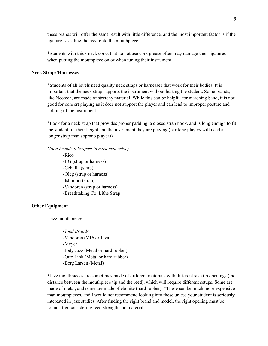these brands will offer the same result with little difference, and the most important factor is if the ligature is sealing the reed onto the mouthpiece.

\*Students with thick neck corks that do not use cork grease often may damage their ligatures when putting the mouthpiece on or when tuning their instrument.

#### **Neck Straps/Harnesses**

\*Students of all levels need quality neck straps or harnesses that work for their bodies. It is important that the neck strap supports the instrument without hurting the student. Some brands, like Neotech, are made of stretchy material. While this can be helpful for marching band, it is not good for concert playing as it does not support the player and can lead to improper posture and holding of the instrument.

\*Look for a neck strap that provides proper padding, a closed strap hook, and is long enough to fit the student for their height and the instrument they are playing (baritone players will need a longer strap than soprano players)

*Good brands (cheapest to most expensive)*

-Rico -BG (strap or harness) -Cebulla (strap) -Oleg (strap or harness) -Ishimori (strap) -Vandoren (strap or harness) -Breathtaking Co. Lithe Strap

#### **Other Equipment**

-Jazz mouthpieces

*Good Brands* -Vandoren (V16 or Java) -Meyer -Jody Jazz (Metal or hard rubber) -Otto Link (Metal or hard rubber) -Berg Larsen (Metal)

\*Jazz mouthpieces are sometimes made of different materials with different size tip openings (the distance between the mouthpiece tip and the reed), which will require different setups. Some are made of metal, and some are made of ebonite (hard rubber). \*These can be much more expensive than mouthpieces, and I would not recommend looking into these unless your student is seriously interested in jazz studies. After finding the right brand and model, the right opening must be found after considering reed strength and material.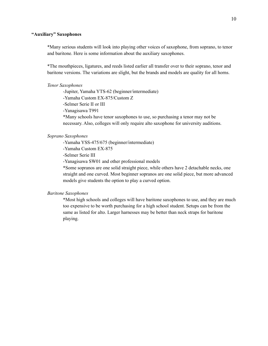#### **"Auxiliary" Saxophones**

\*Many serious students will look into playing other voices of saxophone, from soprano, to tenor and baritone. Here is some information about the auxiliary saxophones.

\*The mouthpieces, ligatures, and reeds listed earlier all transfer over to their soprano, tenor and baritone versions. The variations are slight, but the brands and models are quality for all horns.

#### *Tenor Saxophones*

-Jupiter, Yamaha YTS-62 (beginner/intermediate)

-Yamaha Custom EX-875/Custom Z

-Selmer Serie II or III

-Yanagisawa T991

\*Many schools have tenor saxophones to use, so purchasing a tenor may not be necessary. Also, colleges will only require alto saxophone for university auditions.

#### *Soprano Saxophones*

-Yamaha YSS-475/675 (beginner/intermediate)

-Yamaha Custom EX-875

-Selmer Serie III

-Yanagisawa SW01 and other professional models

\*Some sopranos are one solid straight piece, while others have 2 detachable necks, one straight and one curved. Most beginner sopranos are one solid piece, but more advanced models give students the option to play a curved option.

#### *Baritone Saxophones*

\*Most high schools and colleges will have baritone saxophones to use, and they are much too expensive to be worth purchasing for a high school student. Setups can be from the same as listed for alto. Larger harnesses may be better than neck straps for baritone playing.